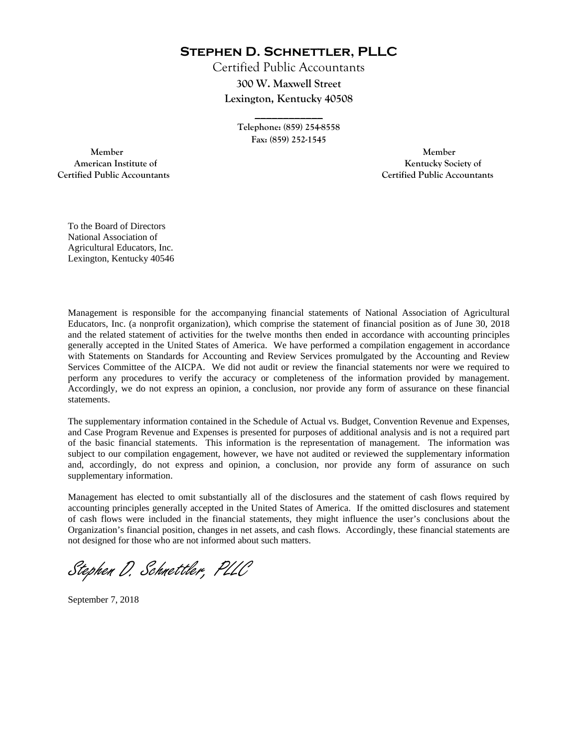**Stephen D. Schnettler, PLLC**

Certified Public Accountants **300 W. Maxwell Street Lexington, Kentucky 40508** 

> **Telephone: (859) 254-8558 Fax: (859) 252-1545**

**\_\_\_\_\_\_\_\_\_\_\_\_** 

 **Member Member Certified Public Accountants Certified Public Accountants** 

American Institute of **Kentucky Society of American Institute of** 

To the Board of Directors National Association of Agricultural Educators, Inc. Lexington, Kentucky 40546

Management is responsible for the accompanying financial statements of National Association of Agricultural Educators, Inc. (a nonprofit organization), which comprise the statement of financial position as of June 30, 2018 and the related statement of activities for the twelve months then ended in accordance with accounting principles generally accepted in the United States of America. We have performed a compilation engagement in accordance with Statements on Standards for Accounting and Review Services promulgated by the Accounting and Review Services Committee of the AICPA. We did not audit or review the financial statements nor were we required to perform any procedures to verify the accuracy or completeness of the information provided by management. Accordingly, we do not express an opinion, a conclusion, nor provide any form of assurance on these financial statements.

The supplementary information contained in the Schedule of Actual vs. Budget, Convention Revenue and Expenses, and Case Program Revenue and Expenses is presented for purposes of additional analysis and is not a required part of the basic financial statements. This information is the representation of management. The information was subject to our compilation engagement, however, we have not audited or reviewed the supplementary information and, accordingly, do not express and opinion, a conclusion, nor provide any form of assurance on such supplementary information.

Management has elected to omit substantially all of the disclosures and the statement of cash flows required by accounting principles generally accepted in the United States of America. If the omitted disclosures and statement of cash flows were included in the financial statements, they might influence the user's conclusions about the Organization's financial position, changes in net assets, and cash flows. Accordingly, these financial statements are not designed for those who are not informed about such matters.

Stephen D. Schnettler, PLLC

September 7, 2018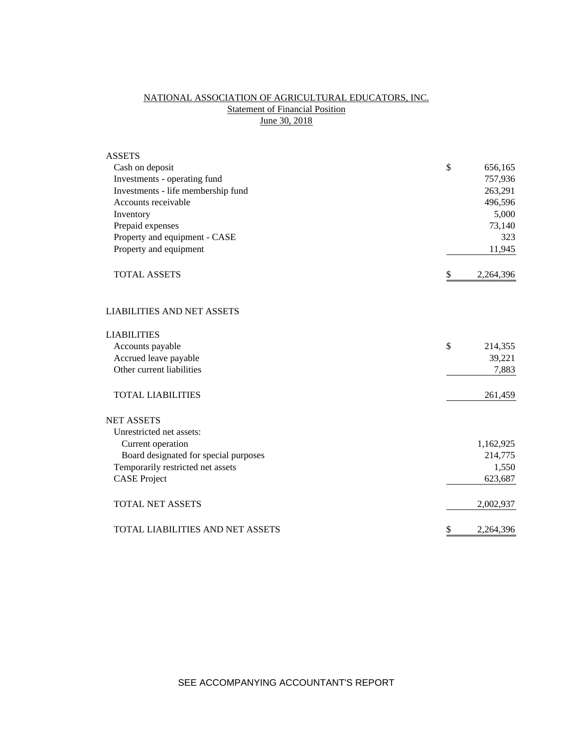# NATIONAL ASSOCIATION OF AGRICULTURAL EDUCATORS, INC. **Statement of Financial Position** June 30, 2018

| <b>ASSETS</b>                           |                 |
|-----------------------------------------|-----------------|
| Cash on deposit                         | \$<br>656,165   |
| Investments - operating fund            | 757,936         |
| Investments - life membership fund      | 263,291         |
| Accounts receivable                     | 496,596         |
| Inventory                               | 5,000           |
| Prepaid expenses                        | 73,140          |
| Property and equipment - CASE           | 323             |
| Property and equipment                  | 11,945          |
| <b>TOTAL ASSETS</b>                     | \$<br>2,264,396 |
| <b>LIABILITIES AND NET ASSETS</b>       |                 |
| <b>LIABILITIES</b>                      |                 |
| Accounts payable                        | \$<br>214,355   |
| Accrued leave payable                   | 39,221          |
| Other current liabilities               | 7,883           |
| <b>TOTAL LIABILITIES</b>                | 261,459         |
| <b>NET ASSETS</b>                       |                 |
| Unrestricted net assets:                |                 |
| Current operation                       | 1,162,925       |
| Board designated for special purposes   | 214,775         |
| Temporarily restricted net assets       | 1,550           |
| <b>CASE Project</b>                     | 623,687         |
| <b>TOTAL NET ASSETS</b>                 | 2,002,937       |
| <b>TOTAL LIABILITIES AND NET ASSETS</b> | \$<br>2,264,396 |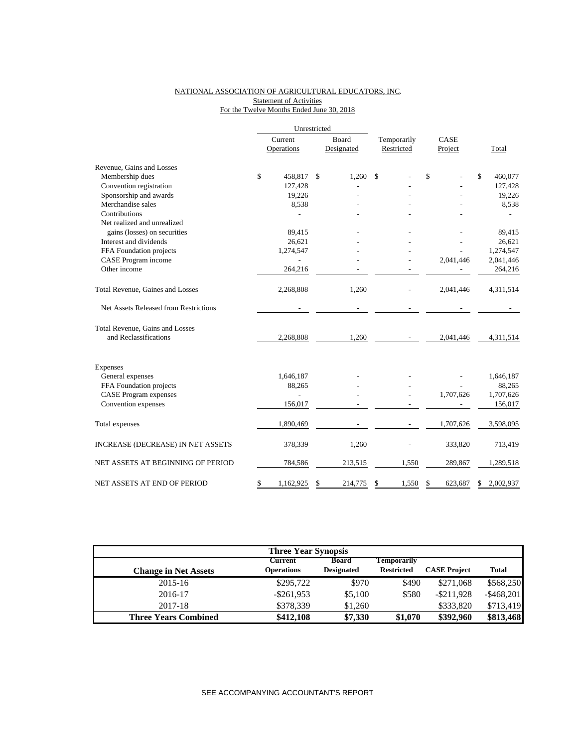# NATIONAL ASSOCIATION OF AGRICULTURAL EDUCATORS, INC. Statement of Activities For the Twelve Months Ended June 30, 2018

|                                       | Unrestricted    |               |             |    |           |                 |
|---------------------------------------|-----------------|---------------|-------------|----|-----------|-----------------|
|                                       | Current         | Board         | Temporarily |    | CASE      |                 |
|                                       | Operations      | Designated    | Restricted  |    | Project   | Total           |
| Revenue, Gains and Losses             |                 |               |             |    |           |                 |
| Membership dues                       | \$<br>458,817   | \$<br>1.260   | \$          | \$ |           | \$<br>460,077   |
| Convention registration               | 127,428         |               |             |    |           | 127,428         |
| Sponsorship and awards                | 19,226          |               |             |    |           | 19,226          |
| Merchandise sales                     | 8,538           |               |             |    |           | 8,538           |
| Contributions                         |                 |               |             |    |           |                 |
| Net realized and unrealized           |                 |               |             |    |           |                 |
| gains (losses) on securities          | 89,415          |               |             |    |           | 89,415          |
| Interest and dividends                | 26,621          |               |             |    |           | 26,621          |
| FFA Foundation projects               | 1,274,547       |               |             |    |           | 1,274,547       |
| CASE Program income                   |                 |               |             |    | 2,041,446 | 2,041,446       |
| Other income                          | 264,216         |               |             |    |           | 264,216         |
| Total Revenue, Gaines and Losses      | 2,268,808       | 1,260         |             |    | 2,041,446 | 4,311,514       |
| Net Assets Released from Restrictions |                 |               |             |    |           |                 |
| Total Revenue, Gains and Losses       |                 |               |             |    |           |                 |
| and Reclassifications                 | 2,268,808       | 1,260         |             |    | 2,041,446 | 4,311,514       |
| <b>Expenses</b>                       |                 |               |             |    |           |                 |
| General expenses                      | 1,646,187       |               |             |    |           | 1,646,187       |
| FFA Foundation projects               | 88,265          |               |             |    |           | 88,265          |
| <b>CASE</b> Program expenses          |                 |               |             |    | 1,707,626 | 1,707,626       |
| Convention expenses                   | 156,017         |               |             |    |           | 156,017         |
| Total expenses                        | 1,890,469       |               |             |    | 1,707,626 | 3,598,095       |
| INCREASE (DECREASE) IN NET ASSETS     | 378,339         | 1,260         |             |    | 333,820   | 713,419         |
| NET ASSETS AT BEGINNING OF PERIOD     | 784,586         | 213,515       | 1,550       |    | 289,867   | 1,289,518       |
| NET ASSETS AT END OF PERIOD           | \$<br>1,162,925 | \$<br>214,775 | \$<br>1,550 | \$ | 623,687   | \$<br>2,002,937 |

| <b>Three Year Synopsis</b>  |                                     |                                   |                                  |                     |               |  |  |  |
|-----------------------------|-------------------------------------|-----------------------------------|----------------------------------|---------------------|---------------|--|--|--|
| <b>Change in Net Assets</b> | <b>Current</b><br><b>Operations</b> | <b>Board</b><br><b>Designated</b> | Temporarily<br><b>Restricted</b> | <b>CASE Project</b> | <b>Total</b>  |  |  |  |
| 2015-16                     | \$295,722                           | \$970                             | \$490                            | \$271,068           | \$568,250     |  |  |  |
| 2016-17                     | $-$ \$261,953                       | \$5,100                           | \$580                            | $-$ \$211,928       | $-$ \$468,201 |  |  |  |
| 2017-18                     | \$378,339                           | \$1,260                           |                                  | \$333,820           | \$713,419     |  |  |  |
| <b>Three Years Combined</b> | \$412,108                           | \$7,330                           | \$1,070                          | \$392,960           | \$813,468     |  |  |  |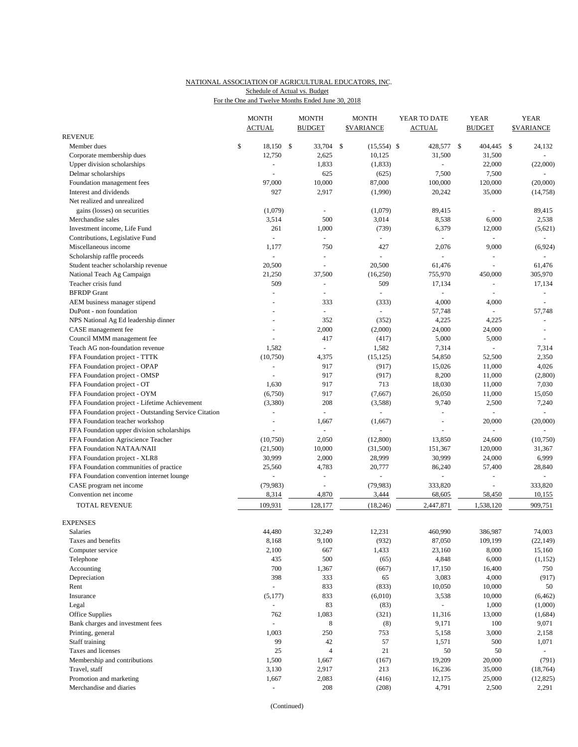### NATIONAL ASSOCIATION OF AGRICULTURAL EDUCATORS, INC. For the One and Twelve Months Ended June 30, 2018 Schedule of Actual vs. Budget

|                                                                                          | <b>MONTH</b><br><b>ACTUAL</b> | <b>MONTH</b><br><b>BUDGET</b> |     | <b>MONTH</b><br><b><i>SVARIANCE</i></b> | YEAR TO DATE<br><b>ACTUAL</b> |                          | <b>YEAR</b><br><b>BUDGET</b> |     | <b>YEAR</b><br><b>SVARIANCE</b> |
|------------------------------------------------------------------------------------------|-------------------------------|-------------------------------|-----|-----------------------------------------|-------------------------------|--------------------------|------------------------------|-----|---------------------------------|
| <b>REVENUE</b>                                                                           |                               |                               |     |                                         |                               |                          |                              |     |                                 |
| Member dues                                                                              | \$<br>18,150 \$               | 33,704                        | -\$ | $(15,554)$ \$                           |                               | 428,577 \$               | 404,445                      | -\$ | 24,132                          |
| Corporate membership dues                                                                | 12,750                        | 2,625                         |     | 10,125                                  |                               | 31,500                   | 31,500                       |     |                                 |
| Upper division scholarships                                                              | ÷,                            | 1,833                         |     | (1, 833)                                |                               | $\sim$                   | 22,000                       |     | (22,000)                        |
| Delmar scholarships                                                                      | ÷,                            | 625                           |     | (625)                                   |                               | 7,500                    | 7,500                        |     |                                 |
| Foundation management fees                                                               | 97,000                        | 10,000                        |     | 87,000                                  |                               | 100,000                  | 120,000                      |     | (20,000)                        |
| Interest and dividends                                                                   | 927                           | 2,917                         |     | (1,990)                                 |                               | 20,242                   | 35,000                       |     | (14, 758)                       |
| Net realized and unrealized                                                              |                               |                               |     |                                         |                               |                          |                              |     |                                 |
| gains (losses) on securities                                                             | (1,079)                       | $\overline{\phantom{a}}$      |     | (1,079)                                 |                               | 89,415                   | ä,                           |     | 89,415                          |
| Merchandise sales                                                                        | 3,514                         | 500                           |     | 3,014                                   |                               | 8,538                    | 6,000                        |     | 2,538                           |
| Investment income, Life Fund                                                             | 261                           | 1,000                         |     | (739)                                   |                               | 6,379                    | 12,000                       |     | (5,621)                         |
| Contributions, Legislative Fund                                                          | L.                            | $\sim$                        |     |                                         |                               |                          |                              |     |                                 |
| Miscellaneous income                                                                     | 1,177                         | 750                           |     | 427                                     |                               | 2,076                    | 9,000                        |     | (6,924)                         |
| Scholarship raffle proceeds                                                              | $\sim$                        |                               |     |                                         |                               |                          |                              |     |                                 |
| Student teacher scholarship revenue                                                      | 20,500                        | $\overline{\phantom{a}}$      |     | 20,500                                  |                               | 61,476                   | ÷,                           |     | 61,476                          |
| National Teach Ag Campaign                                                               | 21,250                        | 37,500                        |     | (16,250)                                |                               | 755,970                  | 450,000                      |     | 305,970                         |
| Teacher crisis fund                                                                      | 509                           | $\sim$                        |     | 509                                     |                               | 17,134                   | ä,                           |     | 17,134                          |
| <b>BFRDP</b> Grant                                                                       |                               | $\sim$                        |     |                                         |                               |                          | ÷.                           |     | $\sim$                          |
| AEM business manager stipend                                                             |                               | 333                           |     | (333)                                   |                               | 4,000                    | 4,000                        |     | $\Box$                          |
| DuPont - non foundation                                                                  |                               | $\overline{\phantom{a}}$      |     | $\overline{a}$                          |                               | 57,748                   | ÷,                           |     | 57,748                          |
| NPS National Ag Ed leadership dinner                                                     |                               | 352                           |     | (352)                                   |                               | 4,225                    | 4,225                        |     | $\omega$                        |
| CASE management fee                                                                      |                               | 2,000                         |     | (2,000)                                 |                               | 24,000                   | 24,000                       |     | L,                              |
| Council MMM management fee                                                               |                               | 417                           |     | (417)                                   |                               | 5,000                    | 5,000                        |     | $\overline{a}$                  |
| Teach AG non-foundation revenue                                                          | 1,582                         | $\Box$                        |     | 1,582                                   |                               | 7,314                    |                              |     | 7,314                           |
| FFA Foundation project - TTTK                                                            | (10,750)                      | 4,375                         |     | (15, 125)                               |                               | 54,850                   | 52,500                       |     | 2,350                           |
| FFA Foundation project - OPAP                                                            | $\blacksquare$                | 917                           |     | (917)                                   |                               | 15,026                   | 11,000                       |     | 4,026                           |
| FFA Foundation project - OMSP                                                            |                               | 917                           |     | (917)                                   |                               | 8,200                    | 11,000                       |     | (2,800)                         |
| FFA Foundation project - OT                                                              | 1,630                         | 917                           |     | 713                                     |                               | 18,030                   | 11,000                       |     | 7,030                           |
| FFA Foundation project - OYM                                                             | (6,750)                       | 917                           |     | (7,667)                                 |                               | 26,050                   | 11,000                       |     | 15,050                          |
| FFA Foundation project - Lifetime Achievement                                            | (3,380)                       | 208                           |     | (3,588)                                 |                               | 9,740                    | 2,500                        |     | 7,240                           |
|                                                                                          | $\blacksquare$                | $\omega$                      |     | ÷,                                      |                               |                          | ÷,                           |     | $\overline{a}$                  |
| FFA Foundation project - Outstanding Service Citation<br>FFA Foundation teacher workshop | $\overline{a}$                | 1,667                         |     | (1,667)                                 |                               | $\overline{\phantom{a}}$ | 20,000                       |     | (20,000)                        |
|                                                                                          | L.                            | $\sim$                        |     | $\overline{a}$                          |                               |                          | ÷.                           |     | ÷                               |
| FFA Foundation upper division scholarships                                               |                               |                               |     |                                         |                               |                          |                              |     |                                 |
| FFA Foundation Agriscience Teacher                                                       | (10,750)                      | 2,050                         |     | (12,800)                                |                               | 13,850                   | 24,600                       |     | (10,750)                        |
| FFA Foundation NATAA/NAII                                                                | (21,500)                      | 10,000                        |     | (31,500)                                |                               | 151,367                  | 120,000                      |     | 31,367                          |
| FFA Foundation project - XLR8                                                            | 30,999                        | 2,000                         |     | 28,999                                  |                               | 30,999                   | 24,000                       |     | 6,999                           |
| FFA Foundation communities of practice                                                   | 25,560                        | 4,783                         |     | 20,777                                  |                               | 86,240                   | 57,400                       |     | 28,840                          |
| FFA Foundation convention internet lounge                                                | $\sim$                        | $\sim$                        |     | L.                                      |                               | ÷                        |                              |     | $\overline{\phantom{a}}$        |
| CASE program net income                                                                  | (79, 983)                     | $\sim$                        |     | (79, 983)                               |                               | 333,820                  | ÷.                           |     | 333,820                         |
| Convention net income                                                                    | 8,314                         | 4,870                         |     | 3,444                                   |                               | 68,605                   | 58,450                       |     | 10,155                          |
| <b>TOTAL REVENUE</b>                                                                     | 109,931                       | 128,177                       |     | (18, 246)                               |                               | 2,447,871                | 1,538,120                    |     | 909,751                         |
| <b>EXPENSES</b>                                                                          |                               |                               |     |                                         |                               |                          |                              |     |                                 |
| Salaries                                                                                 | 44,480                        | 32,249                        |     | 12,231                                  |                               | 460,990                  | 386,987                      |     | 74,003                          |
| Taxes and benefits                                                                       | 8,168                         | 9,100                         |     | (932)                                   |                               | 87,050                   | 109,199                      |     | (22, 149)                       |
| Computer service                                                                         | 2,100                         | 667                           |     | 1,433                                   |                               | 23,160                   | 8,000                        |     | 15,160                          |
| Telephone                                                                                | 435                           | 500                           |     | (65)                                    |                               | 4,848                    | 6,000                        |     | (1, 152)                        |
| Accounting                                                                               | 700                           | 1,367                         |     | (667)                                   |                               | 17,150                   | 16,400                       |     | 750                             |
| Depreciation                                                                             | 398                           | 333                           |     | 65                                      |                               | 3,083                    | 4,000                        |     | (917)                           |
| Rent                                                                                     | $\overline{\phantom{a}}$      | 833                           |     | (833)                                   |                               | 10,050                   | 10,000                       |     | 50                              |
| Insurance                                                                                | (5,177)                       | 833                           |     | (6,010)                                 |                               | 3,538                    | 10,000                       |     | (6, 462)                        |
| Legal                                                                                    | ÷,                            | 83                            |     | (83)                                    |                               | $\overline{\phantom{a}}$ | 1,000                        |     | (1,000)                         |
| <b>Office Supplies</b>                                                                   | 762                           | 1,083                         |     | (321)                                   |                               | 11,316                   | 13,000                       |     | (1,684)                         |
| Bank charges and investment fees                                                         | $\overline{\phantom{a}}$      | $\,8\,$                       |     | (8)                                     |                               | 9,171                    | 100                          |     | 9,071                           |
| Printing, general                                                                        | 1,003                         | 250                           |     | 753                                     |                               | 5,158                    | 3,000                        |     | 2,158                           |
| Staff training                                                                           | 99                            | 42                            |     | 57                                      |                               | 1,571                    | 500                          |     | 1,071                           |
| Taxes and licenses                                                                       | 25                            | $\overline{4}$                |     | 21                                      |                               | 50                       | 50                           |     |                                 |
| Membership and contributions                                                             | 1,500                         | 1,667                         |     | (167)                                   |                               | 19,209                   | 20,000                       |     | (791)                           |
| Travel, staff                                                                            | 3,130                         | 2,917                         |     | 213                                     |                               | 16,236                   | 35,000                       |     | (18, 764)                       |
| Promotion and marketing                                                                  | 1,667                         | 2,083                         |     | (416)                                   |                               | 12,175                   | 25,000                       |     | (12, 825)                       |
| Merchandise and diaries                                                                  | $\blacksquare$                | 208                           |     | (208)                                   |                               | 4,791                    | 2,500                        |     | 2,291                           |
|                                                                                          |                               |                               |     |                                         |                               |                          |                              |     |                                 |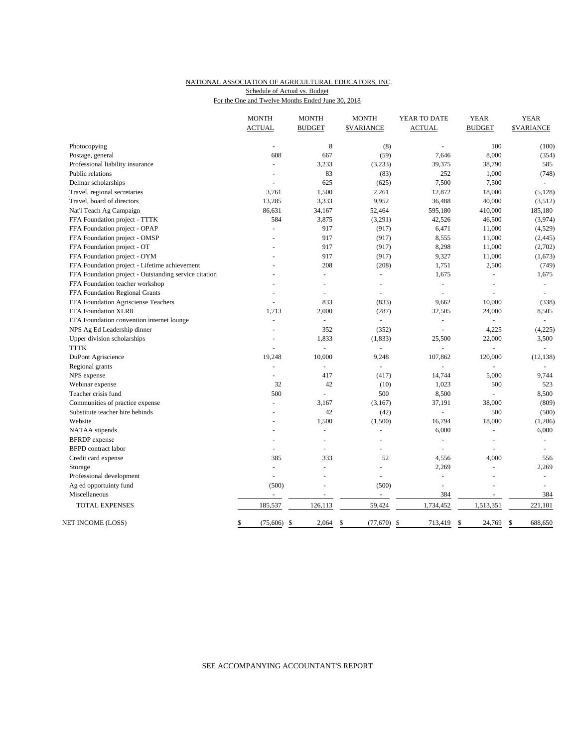# NATIONAL ASSOCIATION OF AGRICULTURAL EDUCATORS, INC. For the One and Twelve Months Ended June 30, 2018 Schedule of Actual vs. Budget

|                                                       | <b>MONTH</b>   | <b>MONTH</b>          | <b>MONTH</b>            | YEAR TO DATE             | <b>YEAR</b>    | <b>YEAR</b>       |
|-------------------------------------------------------|----------------|-----------------------|-------------------------|--------------------------|----------------|-------------------|
|                                                       | <b>ACTUAL</b>  | <b>BUDGET</b>         | <b><i>SVARIANCE</i></b> | <b>ACTUAL</b>            | <b>BUDGET</b>  | <b>\$VARIANCE</b> |
| Photocopying                                          |                | 8                     | (8)                     |                          | 100            | (100)             |
| Postage, general                                      | 608            | 667                   | (59)                    | 7,646                    | 8,000          | (354)             |
| Professional liability insurance                      | ÷.             | 3,233                 | (3,233)                 | 39,375                   | 38,790         | 585               |
| Public relations                                      |                | 83                    | (83)                    | 252                      | 1,000          | (748)             |
| Delmar scholarships                                   | ÷,             | 625                   | (625)                   | 7,500                    | 7,500          | $\omega$          |
| Travel, regional secretaries                          | 3.761          | 1,500                 | 2,261                   | 12,872                   | 18,000         | (5, 128)          |
| Travel, board of directors                            | 13,285         | 3,333                 | 9,952                   | 36,488                   | 40,000         | (3,512)           |
| Nat'l Teach Ag Campaign                               | 86,631         | 34,167                | 52,464                  | 595,180                  | 410,000        | 185,180           |
| FFA Foundation project - TTTK                         | 584            | 3,875                 | (3,291)                 | 42,526                   | 46,500         | (3,974)           |
| FFA Foundation project - OPAP                         | L,             | 917                   | (917)                   | 6,471                    | 11,000         | (4,529)           |
| FFA Foundation project - OMSP                         |                | 917                   | (917)                   | 8,555                    | 11,000         | (2, 445)          |
| FFA Foundation project - OT                           |                | 917                   | (917)                   | 8,298                    | 11,000         | (2,702)           |
| FFA Foundation project - OYM                          |                | 917                   | (917)                   | 9,327                    | 11,000         | (1,673)           |
| FFA Foundation project - Lifetime achievement         |                | 208                   | (208)                   | 1,751                    | 2,500          | (749)             |
| FFA Foundation project - Outstanding service citation |                | L.                    | $\blacksquare$          | 1,675                    | L.             | 1,675             |
| FFA Foundation teacher workshop                       |                |                       | $\overline{a}$          | $\sim$                   | L.             | $\blacksquare$    |
| FFA Foundation Regional Grants                        |                | L,                    | ä,                      | ÷,                       |                |                   |
| FFA Foundation Agrisciense Teachers                   |                | 833                   | (833)                   | 9,662                    | 10,000         | (338)             |
| FFA Foundation XLR8                                   | 1,713          | 2,000                 | (287)                   | 32,505                   | 24,000         | 8,505             |
| FFA Foundation convention internet lounge             | L.             | $\blacksquare$        | $\equiv$                | $\overline{a}$           |                |                   |
| NPS Ag Ed Leadership dinner                           |                | 352                   | (352)                   | $\overline{a}$           | 4,225          | (4,225)           |
| Upper division scholarships                           |                | 1,833                 | (1, 833)                | 25,500                   | 22,000         | 3,500             |
| <b>TTTK</b>                                           | ÷,             | $\overline{a}$        |                         |                          | $\overline{a}$ | $\sim$            |
| DuPont Agriscience                                    | 19,248         | 10,000                | 9,248                   | 107,862                  | 120,000        | (12, 138)         |
| Regional grants                                       | L.             | $\sim$                | $\overline{a}$          |                          |                |                   |
| NPS expense                                           | $\overline{a}$ | 417                   | (417)                   | 14,744                   | 5,000          | 9,744             |
| Webinar expense                                       | 32             | 42                    | (10)                    | 1,023                    | 500            | 523               |
| Teacher crisis fund                                   | 500            | L,                    | 500                     | 8,500                    |                | 8,500             |
| Communities of practice expense                       |                | 3,167                 | (3,167)                 | 37,191                   | 38,000         | (809)             |
| Substitute teacher hire behinds                       |                | 42                    | (42)                    | ÷,                       | 500            | (500)             |
| Website                                               |                | 1,500                 | (1,500)                 | 16,794                   | 18,000         | (1,206)           |
| NATAA stipends                                        |                | $\overline{a}$        |                         | 6,000                    | L.             | 6,000             |
| <b>BFRDP</b> expense                                  | L,             |                       |                         | $\overline{\phantom{a}}$ | $\overline{a}$ |                   |
| <b>BFPD</b> contract labor                            | ä,             | L,                    |                         | ÷,                       | L.             |                   |
| Credit card expense                                   | 385            | 333                   | 52                      | 4,556                    | 4,000          | 556               |
| Storage                                               | L,             |                       |                         | 2,269                    | L              | 2,269             |
| Professional development                              | L.             |                       | $\bar{\phantom{a}}$     | $\overline{\phantom{a}}$ | L.             | $\sim$            |
| Ag ed opportuinty fund                                | (500)          |                       | (500)                   | $\overline{a}$           |                | $\sim$            |
| Miscellaneous                                         |                | L.                    | $\bar{\phantom{a}}$     | 384                      | $\overline{a}$ | 384               |
| TOTAL EXPENSES                                        | 185,537        | 126,113               | 59,424                  | 1,734,452                | 1,513,351      | 221,101           |
| NET INCOME (LOSS)                                     | (75,606)<br>\$ | $\mathbb{S}$<br>2,064 | \$<br>(77, 670)         | \$<br>713,419            | \$<br>24,769   | \$<br>688,650     |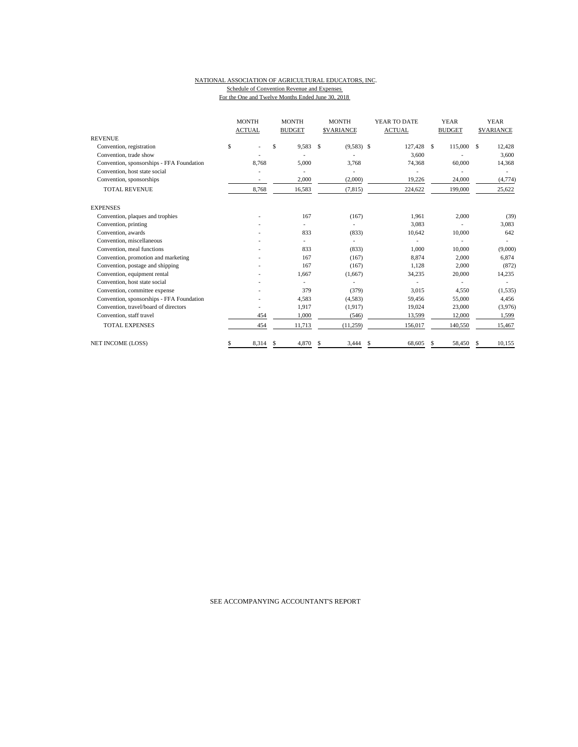#### NATIONAL ASSOCIATION OF AGRICULTURAL EDUCATORS, INC. Schedule of Convention Revenue and Expenses For the One and Twelve Months Ended June 30, 2018

| <b>REVENUE</b>                            |    | <b>MONTH</b><br><b>ACTUAL</b> |    |        |               |              |    |            |    | <b>MONTH</b><br><b>BUDGET</b> |    | <b>MONTH</b><br><b>SVARIANCE</b> |  | YEAR TO DATE<br><b>ACTUAL</b> |  |  |  | <b>YEAR</b><br><b>BUDGET</b> |  | <b>YEAR</b><br><b>SVARIANCE</b> |
|-------------------------------------------|----|-------------------------------|----|--------|---------------|--------------|----|------------|----|-------------------------------|----|----------------------------------|--|-------------------------------|--|--|--|------------------------------|--|---------------------------------|
| Convention, registration                  | \$ |                               | \$ | 9,583  | <sup>\$</sup> | $(9,583)$ \$ |    | 127,428 \$ |    | 115,000                       | S. | 12,428                           |  |                               |  |  |  |                              |  |                                 |
| Convention, trade show                    |    |                               |    |        |               |              |    | 3,600      |    |                               |    | 3,600                            |  |                               |  |  |  |                              |  |                                 |
| Convention, sponsorships - FFA Foundation |    | 8.768                         |    | 5.000  |               | 3,768        |    | 74,368     |    | 60,000                        |    | 14,368                           |  |                               |  |  |  |                              |  |                                 |
| Convention, host state social             |    |                               |    |        |               |              |    |            |    |                               |    |                                  |  |                               |  |  |  |                              |  |                                 |
|                                           |    |                               |    |        |               |              |    |            |    |                               |    |                                  |  |                               |  |  |  |                              |  |                                 |
| Convention, sponsorships                  |    |                               |    | 2,000  |               | (2,000)      |    | 19,226     |    | 24,000                        |    | (4, 774)                         |  |                               |  |  |  |                              |  |                                 |
| <b>TOTAL REVENUE</b>                      |    | 8,768                         |    | 16,583 |               | (7, 815)     |    | 224,622    |    | 199,000                       |    | 25,622                           |  |                               |  |  |  |                              |  |                                 |
| <b>EXPENSES</b>                           |    |                               |    |        |               |              |    |            |    |                               |    |                                  |  |                               |  |  |  |                              |  |                                 |
| Convention, plaques and trophies          |    |                               |    | 167    |               | (167)        |    | 1,961      |    | 2,000                         |    | (39)                             |  |                               |  |  |  |                              |  |                                 |
| Convention, printing                      |    |                               |    | ٠      |               |              |    | 3,083      |    |                               |    | 3,083                            |  |                               |  |  |  |                              |  |                                 |
| Convention, awards                        |    |                               |    | 833    |               | (833)        |    | 10,642     |    | 10,000                        |    | 642                              |  |                               |  |  |  |                              |  |                                 |
| Convention, miscellaneous                 |    |                               |    |        |               |              |    |            |    |                               |    |                                  |  |                               |  |  |  |                              |  |                                 |
| Convention, meal functions                |    |                               |    | 833    |               | (833)        |    | 1,000      |    | 10,000                        |    | (9,000)                          |  |                               |  |  |  |                              |  |                                 |
| Convention, promotion and marketing       |    |                               |    | 167    |               | (167)        |    | 8,874      |    | 2,000                         |    | 6,874                            |  |                               |  |  |  |                              |  |                                 |
| Convention, postage and shipping          |    |                               |    | 167    |               | (167)        |    | 1,128      |    | 2,000                         |    | (872)                            |  |                               |  |  |  |                              |  |                                 |
| Convention, equipment rental              |    |                               |    | 1,667  |               | (1,667)      |    | 34,235     |    | 20,000                        |    | 14,235                           |  |                               |  |  |  |                              |  |                                 |
| Convention, host state social             |    |                               |    |        |               |              |    |            |    |                               |    |                                  |  |                               |  |  |  |                              |  |                                 |
| Convention, committee expense             |    |                               |    | 379    |               | (379)        |    | 3,015      |    | 4,550                         |    | (1, 535)                         |  |                               |  |  |  |                              |  |                                 |
| Convention, sponsorships - FFA Foundation |    |                               |    | 4,583  |               | (4,583)      |    | 59,456     |    | 55,000                        |    | 4,456                            |  |                               |  |  |  |                              |  |                                 |
| Convention, travel/board of directors     |    |                               |    | 1,917  |               | (1,917)      |    | 19,024     |    | 23,000                        |    | (3,976)                          |  |                               |  |  |  |                              |  |                                 |
| Convention, staff travel                  |    | 454                           |    | 1,000  |               | (546)        |    | 13,599     |    | 12,000                        |    | 1,599                            |  |                               |  |  |  |                              |  |                                 |
| <b>TOTAL EXPENSES</b>                     |    | 454                           |    | 11,713 |               | (11,259)     |    | 156,017    |    | 140,550                       |    | 15,467                           |  |                               |  |  |  |                              |  |                                 |
| <b>NET INCOME (LOSS)</b>                  |    | 8,314                         | S  | 4,870  | S             | 3,444        | \$ | 68,605     | \$ | 58,450                        | S  | 10,155                           |  |                               |  |  |  |                              |  |                                 |

SEE ACCOMPANYING ACCOUNTANT'S REPORT